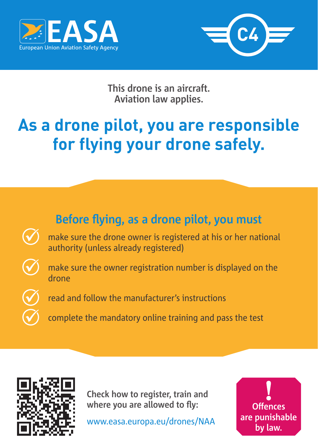



**This drone is an aircraft. Aviation law applies.**

## **As a drone pilot, you are responsible for flying your drone safely.**





**Check how to register, train and where you are allowed to fly:**

www.easa.europa.eu/drones/NAA